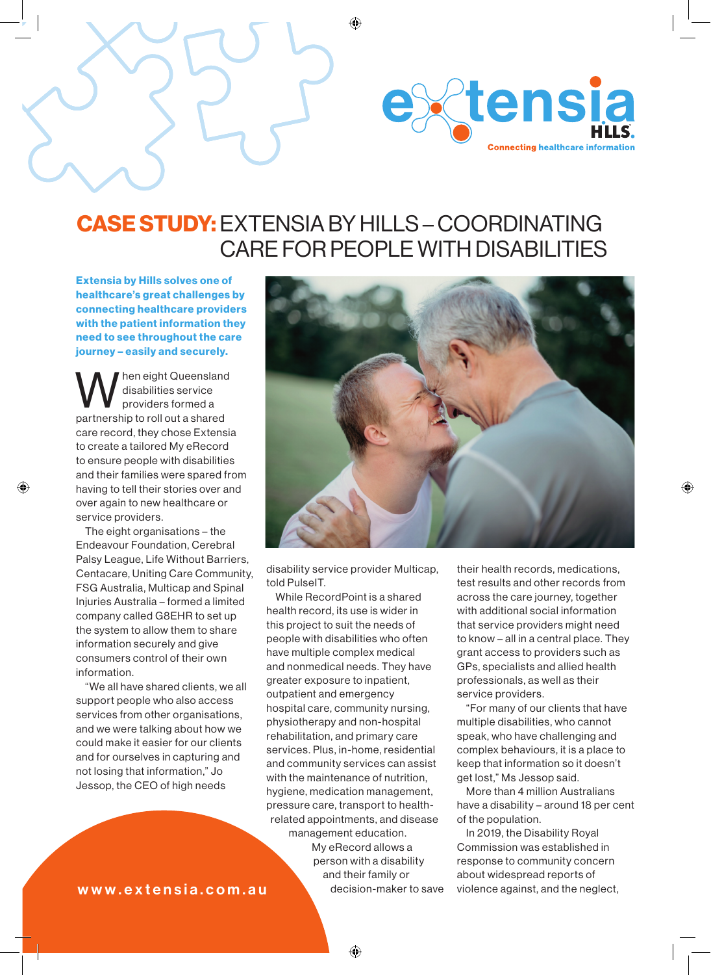

## CASE STUDY: EXTENSIA BY HILLS – COORDINATING CARE FOR PEOPLE WITH DISABILITIES

◈

Extensia by Hills solves one of healthcare's great challenges by connecting healthcare providers with the patient information they need to see throughout the care journey – easily and securely.

hen eight Queensland disabilities service providers formed a partnership to roll out a shared care record, they chose Extensia to create a tailored My eRecord to ensure people with disabilities and their families were spared from having to tell their stories over and over again to new healthcare or service providers.

◈

The eight organisations – the Endeavour Foundation, Cerebral Palsy League, Life Without Barriers, Centacare, Uniting Care Community, FSG Australia, Multicap and Spinal Injuries Australia – formed a limited company called G8EHR to set up the system to allow them to share information securely and give consumers control of their own information.

"We all have shared clients, we all support people who also access services from other organisations, and we were talking about how we could make it easier for our clients and for ourselves in capturing and not losing that information," Jo Jessop, the CEO of high needs



disability service provider Multicap, told PulseIT.

While RecordPoint is a shared health record, its use is wider in this project to suit the needs of people with disabilities who often have multiple complex medical and nonmedical needs. They have greater exposure to inpatient, outpatient and emergency hospital care, community nursing, physiotherapy and non-hospital rehabilitation, and primary care services. Plus, in-home, residential and community services can assist with the maintenance of nutrition, hygiene, medication management, pressure care, transport to healthrelated appointments, and disease management education.

My eRecord allows a person with a disability and their family or decision-maker to save

their health records, medications, test results and other records from across the care journey, together with additional social information that service providers might need to know – all in a central place. They grant access to providers such as GPs, specialists and allied health professionals, as well as their service providers.

◈

"For many of our clients that have multiple disabilities, who cannot speak, who have challenging and complex behaviours, it is a place to keep that information so it doesn't get lost," Ms Jessop said.

More than 4 million Australians have a disability – around 18 per cent of the population.

In 2019, the Disability Royal Commission was established in response to community concern about widespread reports of violence against, and the neglect,

www.extensia.com.au

◈